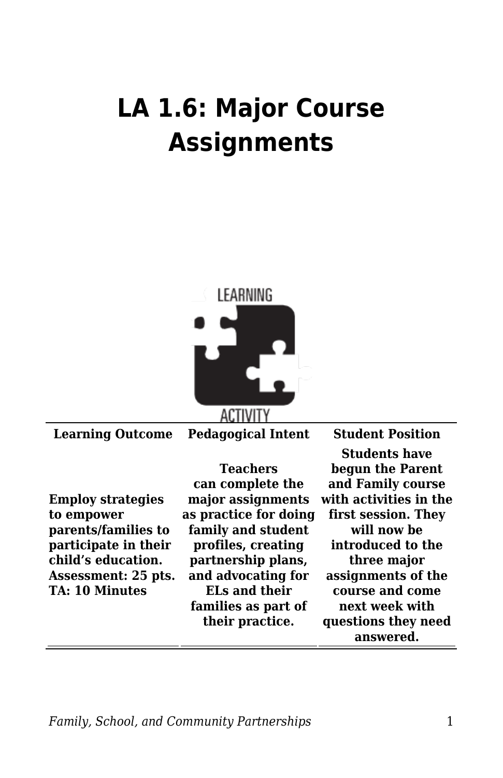## **LA 1.6: Major Course Assignments**



**Learning Outcome Pedagogical Intent Student Position**

**Employ strategies to empower parents/families to participate in their child's education. Assessment: 25 pts. TA: 10 Minutes**

**Teachers can complete the major assignments as practice for doing family and student profiles, creating partnership plans, and advocating for ELs and their families as part of their practice.**

**Students have begun the Parent and Family course with activities in the first session. They will now be introduced to the three major assignments of the course and come next week with questions they need answered.**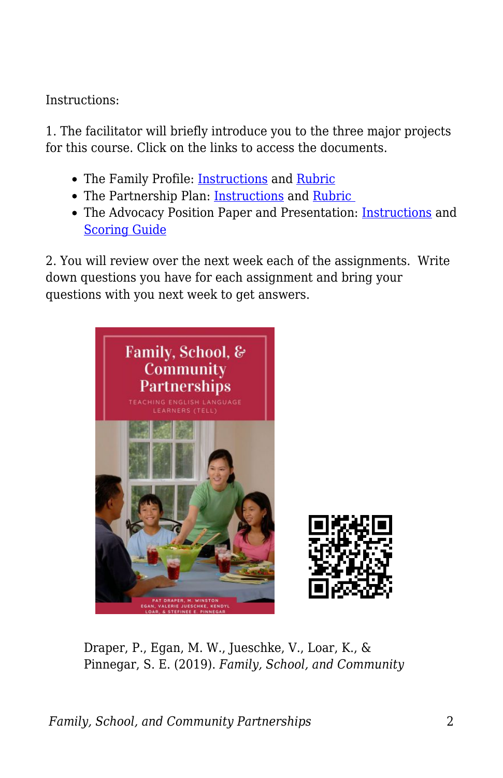Instructions:

1. The facilitator will briefly introduce you to the three major projects for this course. Click on the links to access the documents.

- The Family Profile: [Instructions](https://byu.box.com/s/0f5fi1zptxh85riar9jaqm3zul8iqzrp) and [Rubric](https://byu.box.com/s/1n6lqdqwk12cuqz6hq219wvahezbxk1c)
- The Partnership Plan: [Instructions](https://byu.box.com/s/9v2fgvhvuz67czt07bxzp84svo0ocyyp) and Rubric
- The Advocacy Position Paper and Presentation: [Instructions](https://byu.box.com/s/z071teakvub0f7o1rj19rg5gt32bg38p) and [Scoring Guide](https://byu.box.com/s/oyu8jqep2oa324j6z86bpsc0wkocc6gz)

2. You will review over the next week each of the assignments. Write down questions you have for each assignment and bring your questions with you next week to get answers.



Draper, P., Egan, M. W., Jueschke, V., Loar, K., & Pinnegar, S. E. (2019). *Family, School, and Community*